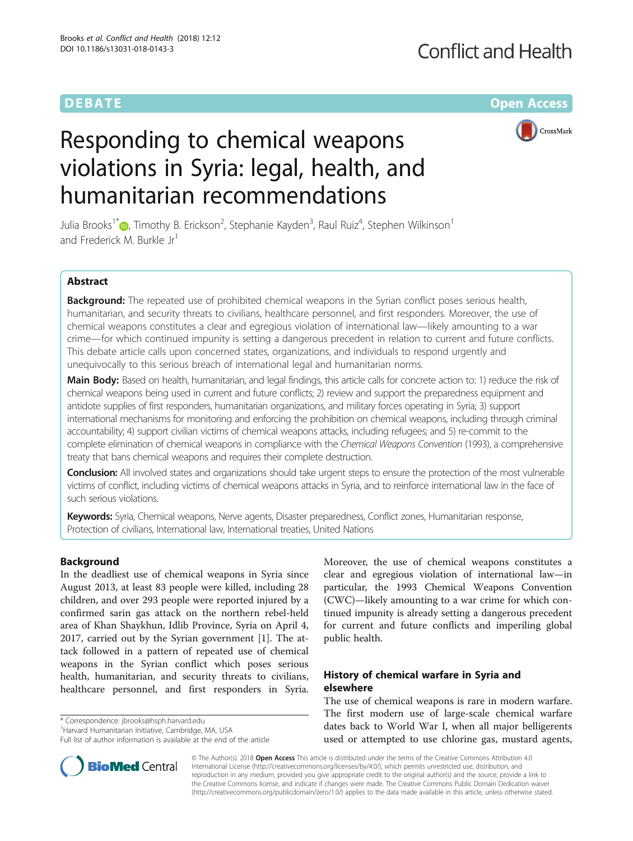**DEBATE CONSERVATION CONSERVATION** 

CrossMark

# Responding to chemical weapons violations in Syria: legal, health, and humanitarian recommendations

Julia Brooks<sup>1[\\*](http://orcid.org/0000-0002-9003-4057)</sup> $\circledbullet$ , Timothy B. Erickson<sup>2</sup>, Stephanie Kayden<sup>3</sup>, Raul Ruiz<sup>4</sup>, Stephen Wilkinson<sup>1</sup> and Frederick M. Burkle Jr<sup>1</sup>

# Abstract

Background: The repeated use of prohibited chemical weapons in the Syrian conflict poses serious health, humanitarian, and security threats to civilians, healthcare personnel, and first responders. Moreover, the use of chemical weapons constitutes a clear and egregious violation of international law—likely amounting to a war crime—for which continued impunity is setting a dangerous precedent in relation to current and future conflicts. This debate article calls upon concerned states, organizations, and individuals to respond urgently and unequivocally to this serious breach of international legal and humanitarian norms.

Main Body: Based on health, humanitarian, and legal findings, this article calls for concrete action to: 1) reduce the risk of chemical weapons being used in current and future conflicts; 2) review and support the preparedness equipment and antidote supplies of first responders, humanitarian organizations, and military forces operating in Syria; 3) support international mechanisms for monitoring and enforcing the prohibition on chemical weapons, including through criminal accountability; 4) support civilian victims of chemical weapons attacks, including refugees; and 5) re-commit to the complete elimination of chemical weapons in compliance with the Chemical Weapons Convention (1993), a comprehensive treaty that bans chemical weapons and requires their complete destruction.

**Conclusion:** All involved states and organizations should take urgent steps to ensure the protection of the most vulnerable victims of conflict, including victims of chemical weapons attacks in Syria, and to reinforce international law in the face of such serious violations.

Keywords: Syria, Chemical weapons, Nerve agents, Disaster preparedness, Conflict zones, Humanitarian response, Protection of civilians, International law, International treaties, United Nations

### Background

In the deadliest use of chemical weapons in Syria since August 2013, at least 83 people were killed, including 28 children, and over 293 people were reported injured by a confirmed sarin gas attack on the northern rebel-held area of Khan Shaykhun, Idlib Province, Syria on April 4, 2017, carried out by the Syrian government [[1\]](#page-6-0). The attack followed in a pattern of repeated use of chemical weapons in the Syrian conflict which poses serious health, humanitarian, and security threats to civilians, healthcare personnel, and first responders in Syria.

\* Correspondence: [jbrooks@hsph.harvard.edu](mailto:jbrooks@hsph.harvard.edu) <sup>1</sup>

<sup>1</sup> Harvard Humanitarian Initiative, Cambridge, MA, USA

Full list of author information is available at the end of the article

Moreover, the use of chemical weapons constitutes a clear and egregious violation of international law—in particular, the 1993 Chemical Weapons Convention (CWC)—likely amounting to a war crime for which continued impunity is already setting a dangerous precedent for current and future conflicts and imperiling global public health.

# History of chemical warfare in Syria and elsewhere

The use of chemical weapons is rare in modern warfare. The first modern use of large-scale chemical warfare dates back to World War I, when all major belligerents used or attempted to use chlorine gas, mustard agents,



© The Author(s). 2018 Open Access This article is distributed under the terms of the Creative Commons Attribution 4.0 International License [\(http://creativecommons.org/licenses/by/4.0/](http://creativecommons.org/licenses/by/4.0/)), which permits unrestricted use, distribution, and reproduction in any medium, provided you give appropriate credit to the original author(s) and the source, provide a link to the Creative Commons license, and indicate if changes were made. The Creative Commons Public Domain Dedication waiver [\(http://creativecommons.org/publicdomain/zero/1.0/](http://creativecommons.org/publicdomain/zero/1.0/)) applies to the data made available in this article, unless otherwise stated.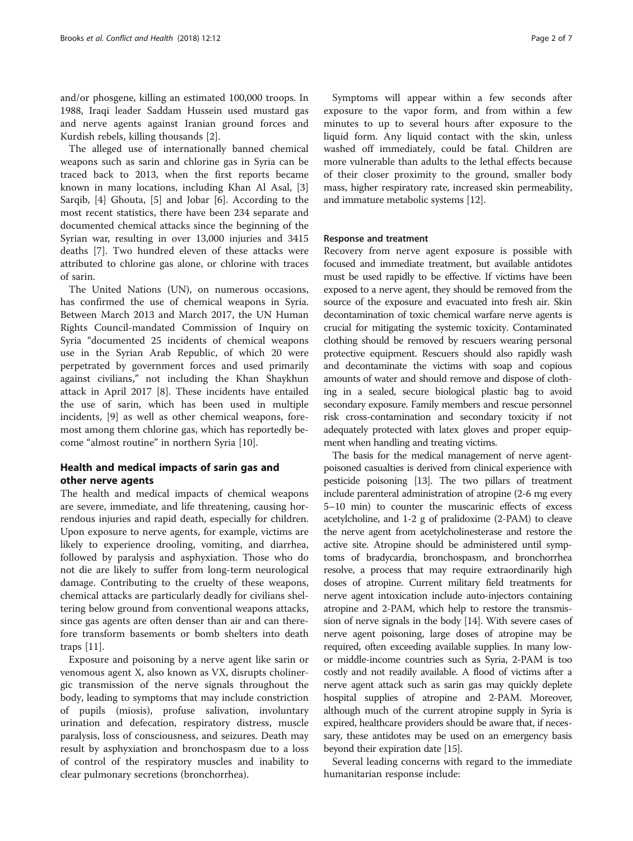and/or phosgene, killing an estimated 100,000 troops. In 1988, Iraqi leader Saddam Hussein used mustard gas and nerve agents against Iranian ground forces and Kurdish rebels, killing thousands [\[2](#page-6-0)].

The alleged use of internationally banned chemical weapons such as sarin and chlorine gas in Syria can be traced back to 2013, when the first reports became known in many locations, including Khan Al Asal, [\[3](#page-6-0)] Sarqib, [\[4](#page-6-0)] Ghouta, [[5](#page-6-0)] and Jobar [\[6](#page-6-0)]. According to the most recent statistics, there have been 234 separate and documented chemical attacks since the beginning of the Syrian war, resulting in over 13,000 injuries and 3415 deaths [[7\]](#page-6-0). Two hundred eleven of these attacks were attributed to chlorine gas alone, or chlorine with traces of sarin.

The United Nations (UN), on numerous occasions, has confirmed the use of chemical weapons in Syria. Between March 2013 and March 2017, the UN Human Rights Council-mandated Commission of Inquiry on Syria "documented 25 incidents of chemical weapons use in the Syrian Arab Republic, of which 20 were perpetrated by government forces and used primarily against civilians," not including the Khan Shaykhun attack in April 2017 [[8\]](#page-6-0). These incidents have entailed the use of sarin, which has been used in multiple incidents, [[9\]](#page-6-0) as well as other chemical weapons, foremost among them chlorine gas, which has reportedly become "almost routine" in northern Syria [[10\]](#page-6-0).

# Health and medical impacts of sarin gas and other nerve agents

The health and medical impacts of chemical weapons are severe, immediate, and life threatening, causing horrendous injuries and rapid death, especially for children. Upon exposure to nerve agents, for example, victims are likely to experience drooling, vomiting, and diarrhea, followed by paralysis and asphyxiation. Those who do not die are likely to suffer from long-term neurological damage. Contributing to the cruelty of these weapons, chemical attacks are particularly deadly for civilians sheltering below ground from conventional weapons attacks, since gas agents are often denser than air and can therefore transform basements or bomb shelters into death traps [\[11\]](#page-6-0).

Exposure and poisoning by a nerve agent like sarin or venomous agent X, also known as VX, disrupts cholinergic transmission of the nerve signals throughout the body, leading to symptoms that may include constriction of pupils (miosis), profuse salivation, involuntary urination and defecation, respiratory distress, muscle paralysis, loss of consciousness, and seizures. Death may result by asphyxiation and bronchospasm due to a loss of control of the respiratory muscles and inability to clear pulmonary secretions (bronchorrhea).

Symptoms will appear within a few seconds after exposure to the vapor form, and from within a few minutes to up to several hours after exposure to the liquid form. Any liquid contact with the skin, unless washed off immediately, could be fatal. Children are more vulnerable than adults to the lethal effects because of their closer proximity to the ground, smaller body mass, higher respiratory rate, increased skin permeability, and immature metabolic systems [\[12\]](#page-6-0).

#### Response and treatment

Recovery from nerve agent exposure is possible with focused and immediate treatment, but available antidotes must be used rapidly to be effective. If victims have been exposed to a nerve agent, they should be removed from the source of the exposure and evacuated into fresh air. Skin decontamination of toxic chemical warfare nerve agents is crucial for mitigating the systemic toxicity. Contaminated clothing should be removed by rescuers wearing personal protective equipment. Rescuers should also rapidly wash and decontaminate the victims with soap and copious amounts of water and should remove and dispose of clothing in a sealed, secure biological plastic bag to avoid secondary exposure. Family members and rescue personnel risk cross-contamination and secondary toxicity if not adequately protected with latex gloves and proper equipment when handling and treating victims.

The basis for the medical management of nerve agentpoisoned casualties is derived from clinical experience with pesticide poisoning [[13](#page-6-0)]. The two pillars of treatment include parenteral administration of atropine (2-6 mg every 5–10 min) to counter the muscarinic effects of excess acetylcholine, and 1-2 g of pralidoxime (2-PAM) to cleave the nerve agent from acetylcholinesterase and restore the active site. Atropine should be administered until symptoms of bradycardia, bronchospasm, and bronchorrhea resolve, a process that may require extraordinarily high doses of atropine. Current military field treatments for nerve agent intoxication include auto-injectors containing atropine and 2-PAM, which help to restore the transmission of nerve signals in the body [[14](#page-6-0)]. With severe cases of nerve agent poisoning, large doses of atropine may be required, often exceeding available supplies. In many lowor middle-income countries such as Syria, 2-PAM is too costly and not readily available. A flood of victims after a nerve agent attack such as sarin gas may quickly deplete hospital supplies of atropine and 2-PAM. Moreover, although much of the current atropine supply in Syria is expired, healthcare providers should be aware that, if necessary, these antidotes may be used on an emergency basis beyond their expiration date [[15](#page-6-0)].

Several leading concerns with regard to the immediate humanitarian response include: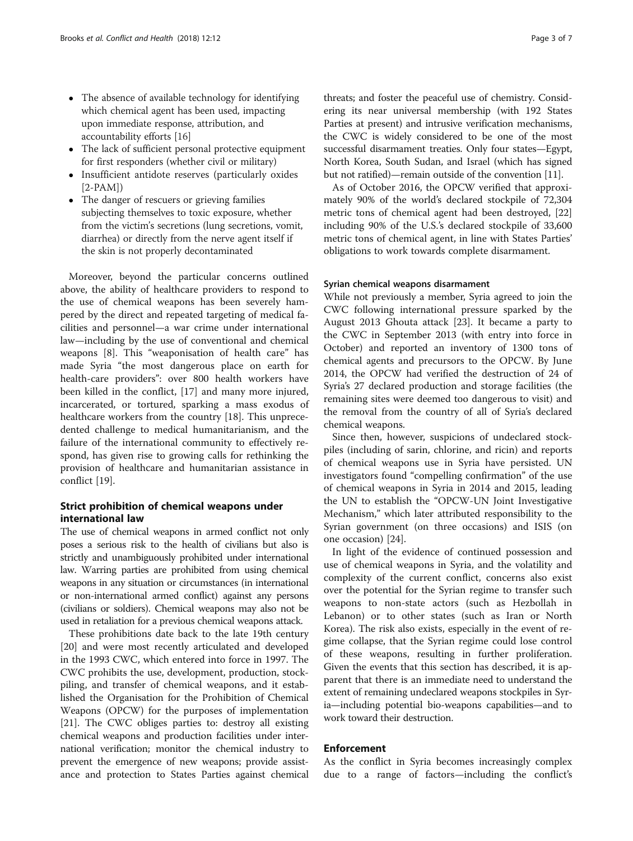- The absence of available technology for identifying which chemical agent has been used, impacting upon immediate response, attribution, and accountability efforts [\[16\]](#page-6-0)
- The lack of sufficient personal protective equipment for first responders (whether civil or military)
- Insufficient antidote reserves (particularly oxides [2-PAM])
- The danger of rescuers or grieving families subjecting themselves to toxic exposure, whether from the victim's secretions (lung secretions, vomit, diarrhea) or directly from the nerve agent itself if the skin is not properly decontaminated

Moreover, beyond the particular concerns outlined above, the ability of healthcare providers to respond to the use of chemical weapons has been severely hampered by the direct and repeated targeting of medical facilities and personnel—a war crime under international law—including by the use of conventional and chemical weapons [\[8](#page-6-0)]. This "weaponisation of health care" has made Syria "the most dangerous place on earth for health-care providers": over 800 health workers have been killed in the conflict, [\[17\]](#page-6-0) and many more injured, incarcerated, or tortured, sparking a mass exodus of healthcare workers from the country [\[18](#page-6-0)]. This unprecedented challenge to medical humanitarianism, and the failure of the international community to effectively respond, has given rise to growing calls for rethinking the provision of healthcare and humanitarian assistance in conflict [\[19](#page-6-0)].

# Strict prohibition of chemical weapons under international law

The use of chemical weapons in armed conflict not only poses a serious risk to the health of civilians but also is strictly and unambiguously prohibited under international law. Warring parties are prohibited from using chemical weapons in any situation or circumstances (in international or non-international armed conflict) against any persons (civilians or soldiers). Chemical weapons may also not be used in retaliation for a previous chemical weapons attack.

These prohibitions date back to the late 19th century [[20\]](#page-6-0) and were most recently articulated and developed in the 1993 CWC, which entered into force in 1997. The CWC prohibits the use, development, production, stockpiling, and transfer of chemical weapons, and it established the Organisation for the Prohibition of Chemical Weapons (OPCW) for the purposes of implementation [[21\]](#page-6-0). The CWC obliges parties to: destroy all existing chemical weapons and production facilities under international verification; monitor the chemical industry to prevent the emergence of new weapons; provide assistance and protection to States Parties against chemical

threats; and foster the peaceful use of chemistry. Considering its near universal membership (with 192 States Parties at present) and intrusive verification mechanisms, the CWC is widely considered to be one of the most successful disarmament treaties. Only four states—Egypt, North Korea, South Sudan, and Israel (which has signed but not ratified)—remain outside of the convention [\[11](#page-6-0)].

As of October 2016, the OPCW verified that approximately 90% of the world's declared stockpile of 72,304 metric tons of chemical agent had been destroyed, [[22](#page-6-0)] including 90% of the U.S.'s declared stockpile of 33,600 metric tons of chemical agent, in line with States Parties' obligations to work towards complete disarmament.

#### Syrian chemical weapons disarmament

While not previously a member, Syria agreed to join the CWC following international pressure sparked by the August 2013 Ghouta attack [[23\]](#page-6-0). It became a party to the CWC in September 2013 (with entry into force in October) and reported an inventory of 1300 tons of chemical agents and precursors to the OPCW. By June 2014, the OPCW had verified the destruction of 24 of Syria's 27 declared production and storage facilities (the remaining sites were deemed too dangerous to visit) and the removal from the country of all of Syria's declared chemical weapons.

Since then, however, suspicions of undeclared stockpiles (including of sarin, chlorine, and ricin) and reports of chemical weapons use in Syria have persisted. UN investigators found "compelling confirmation" of the use of chemical weapons in Syria in 2014 and 2015, leading the UN to establish the "OPCW-UN Joint Investigative Mechanism," which later attributed responsibility to the Syrian government (on three occasions) and ISIS (on one occasion) [\[24\]](#page-6-0).

In light of the evidence of continued possession and use of chemical weapons in Syria, and the volatility and complexity of the current conflict, concerns also exist over the potential for the Syrian regime to transfer such weapons to non-state actors (such as Hezbollah in Lebanon) or to other states (such as Iran or North Korea). The risk also exists, especially in the event of regime collapse, that the Syrian regime could lose control of these weapons, resulting in further proliferation. Given the events that this section has described, it is apparent that there is an immediate need to understand the extent of remaining undeclared weapons stockpiles in Syria—including potential bio-weapons capabilities—and to work toward their destruction.

### Enforcement

As the conflict in Syria becomes increasingly complex due to a range of factors—including the conflict's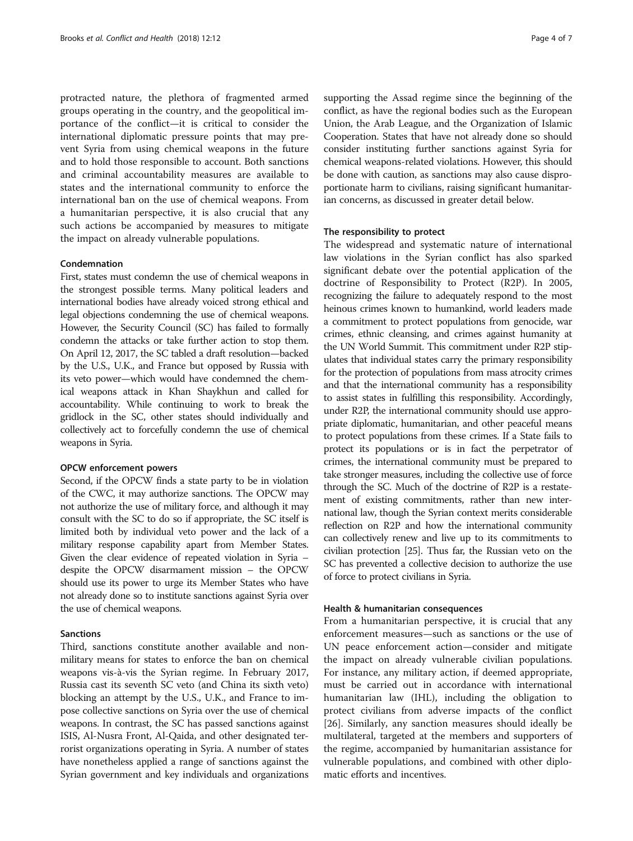protracted nature, the plethora of fragmented armed groups operating in the country, and the geopolitical importance of the conflict—it is critical to consider the international diplomatic pressure points that may prevent Syria from using chemical weapons in the future and to hold those responsible to account. Both sanctions and criminal accountability measures are available to states and the international community to enforce the international ban on the use of chemical weapons. From a humanitarian perspective, it is also crucial that any such actions be accompanied by measures to mitigate the impact on already vulnerable populations.

#### Condemnation

First, states must condemn the use of chemical weapons in the strongest possible terms. Many political leaders and international bodies have already voiced strong ethical and legal objections condemning the use of chemical weapons. However, the Security Council (SC) has failed to formally condemn the attacks or take further action to stop them. On April 12, 2017, the SC tabled a draft resolution—backed by the U.S., U.K., and France but opposed by Russia with its veto power—which would have condemned the chemical weapons attack in Khan Shaykhun and called for accountability. While continuing to work to break the gridlock in the SC, other states should individually and collectively act to forcefully condemn the use of chemical weapons in Syria.

#### OPCW enforcement powers

Second, if the OPCW finds a state party to be in violation of the CWC, it may authorize sanctions. The OPCW may not authorize the use of military force, and although it may consult with the SC to do so if appropriate, the SC itself is limited both by individual veto power and the lack of a military response capability apart from Member States. Given the clear evidence of repeated violation in Syria – despite the OPCW disarmament mission – the OPCW should use its power to urge its Member States who have not already done so to institute sanctions against Syria over the use of chemical weapons.

#### Sanctions

Third, sanctions constitute another available and nonmilitary means for states to enforce the ban on chemical weapons vis-à-vis the Syrian regime. In February 2017, Russia cast its seventh SC veto (and China its sixth veto) blocking an attempt by the U.S., U.K., and France to impose collective sanctions on Syria over the use of chemical weapons. In contrast, the SC has passed sanctions against ISIS, Al-Nusra Front, Al-Qaida, and other designated terrorist organizations operating in Syria. A number of states have nonetheless applied a range of sanctions against the Syrian government and key individuals and organizations supporting the Assad regime since the beginning of the conflict, as have the regional bodies such as the European Union, the Arab League, and the Organization of Islamic Cooperation. States that have not already done so should consider instituting further sanctions against Syria for chemical weapons-related violations. However, this should be done with caution, as sanctions may also cause disproportionate harm to civilians, raising significant humanitarian concerns, as discussed in greater detail below.

#### The responsibility to protect

The widespread and systematic nature of international law violations in the Syrian conflict has also sparked significant debate over the potential application of the doctrine of Responsibility to Protect (R2P). In 2005, recognizing the failure to adequately respond to the most heinous crimes known to humankind, world leaders made a commitment to protect populations from genocide, war crimes, ethnic cleansing, and crimes against humanity at the UN World Summit. This commitment under R2P stipulates that individual states carry the primary responsibility for the protection of populations from mass atrocity crimes and that the international community has a responsibility to assist states in fulfilling this responsibility. Accordingly, under R2P, the international community should use appropriate diplomatic, humanitarian, and other peaceful means to protect populations from these crimes. If a State fails to protect its populations or is in fact the perpetrator of crimes, the international community must be prepared to take stronger measures, including the collective use of force through the SC. Much of the doctrine of R2P is a restatement of existing commitments, rather than new international law, though the Syrian context merits considerable reflection on R2P and how the international community can collectively renew and live up to its commitments to civilian protection [\[25\]](#page-6-0). Thus far, the Russian veto on the SC has prevented a collective decision to authorize the use of force to protect civilians in Syria.

#### Health & humanitarian consequences

From a humanitarian perspective, it is crucial that any enforcement measures—such as sanctions or the use of UN peace enforcement action—consider and mitigate the impact on already vulnerable civilian populations. For instance, any military action, if deemed appropriate, must be carried out in accordance with international humanitarian law (IHL), including the obligation to protect civilians from adverse impacts of the conflict [[26\]](#page-6-0). Similarly, any sanction measures should ideally be multilateral, targeted at the members and supporters of the regime, accompanied by humanitarian assistance for vulnerable populations, and combined with other diplomatic efforts and incentives.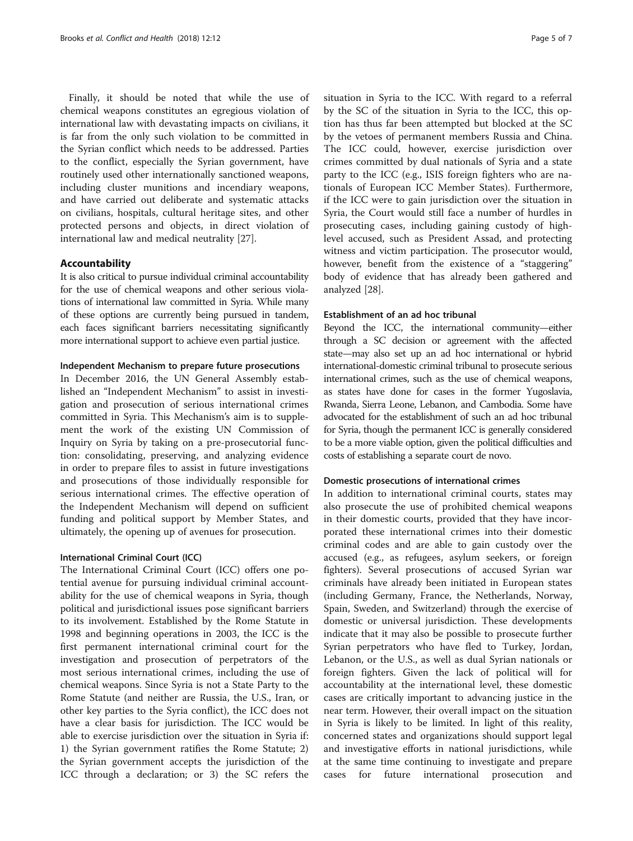Finally, it should be noted that while the use of chemical weapons constitutes an egregious violation of international law with devastating impacts on civilians, it is far from the only such violation to be committed in the Syrian conflict which needs to be addressed. Parties to the conflict, especially the Syrian government, have routinely used other internationally sanctioned weapons, including cluster munitions and incendiary weapons, and have carried out deliberate and systematic attacks on civilians, hospitals, cultural heritage sites, and other protected persons and objects, in direct violation of international law and medical neutrality [\[27](#page-6-0)].

#### Accountability

It is also critical to pursue individual criminal accountability for the use of chemical weapons and other serious violations of international law committed in Syria. While many of these options are currently being pursued in tandem, each faces significant barriers necessitating significantly more international support to achieve even partial justice.

#### Independent Mechanism to prepare future prosecutions

In December 2016, the UN General Assembly established an "Independent Mechanism" to assist in investigation and prosecution of serious international crimes committed in Syria. This Mechanism's aim is to supplement the work of the existing UN Commission of Inquiry on Syria by taking on a pre-prosecutorial function: consolidating, preserving, and analyzing evidence in order to prepare files to assist in future investigations and prosecutions of those individually responsible for serious international crimes. The effective operation of the Independent Mechanism will depend on sufficient funding and political support by Member States, and ultimately, the opening up of avenues for prosecution.

#### International Criminal Court (ICC)

The International Criminal Court (ICC) offers one potential avenue for pursuing individual criminal accountability for the use of chemical weapons in Syria, though political and jurisdictional issues pose significant barriers to its involvement. Established by the Rome Statute in 1998 and beginning operations in 2003, the ICC is the first permanent international criminal court for the investigation and prosecution of perpetrators of the most serious international crimes, including the use of chemical weapons. Since Syria is not a State Party to the Rome Statute (and neither are Russia, the U.S., Iran, or other key parties to the Syria conflict), the ICC does not have a clear basis for jurisdiction. The ICC would be able to exercise jurisdiction over the situation in Syria if: 1) the Syrian government ratifies the Rome Statute; 2) the Syrian government accepts the jurisdiction of the ICC through a declaration; or 3) the SC refers the situation in Syria to the ICC. With regard to a referral by the SC of the situation in Syria to the ICC, this option has thus far been attempted but blocked at the SC by the vetoes of permanent members Russia and China. The ICC could, however, exercise jurisdiction over crimes committed by dual nationals of Syria and a state party to the ICC (e.g., ISIS foreign fighters who are nationals of European ICC Member States). Furthermore, if the ICC were to gain jurisdiction over the situation in Syria, the Court would still face a number of hurdles in prosecuting cases, including gaining custody of highlevel accused, such as President Assad, and protecting witness and victim participation. The prosecutor would, however, benefit from the existence of a "staggering" body of evidence that has already been gathered and analyzed [[28\]](#page-6-0).

#### Establishment of an ad hoc tribunal

Beyond the ICC, the international community—either through a SC decision or agreement with the affected state—may also set up an ad hoc international or hybrid international-domestic criminal tribunal to prosecute serious international crimes, such as the use of chemical weapons, as states have done for cases in the former Yugoslavia, Rwanda, Sierra Leone, Lebanon, and Cambodia. Some have advocated for the establishment of such an ad hoc tribunal for Syria, though the permanent ICC is generally considered to be a more viable option, given the political difficulties and costs of establishing a separate court de novo.

#### Domestic prosecutions of international crimes

In addition to international criminal courts, states may also prosecute the use of prohibited chemical weapons in their domestic courts, provided that they have incorporated these international crimes into their domestic criminal codes and are able to gain custody over the accused (e.g., as refugees, asylum seekers, or foreign fighters). Several prosecutions of accused Syrian war criminals have already been initiated in European states (including Germany, France, the Netherlands, Norway, Spain, Sweden, and Switzerland) through the exercise of domestic or universal jurisdiction. These developments indicate that it may also be possible to prosecute further Syrian perpetrators who have fled to Turkey, Jordan, Lebanon, or the U.S., as well as dual Syrian nationals or foreign fighters. Given the lack of political will for accountability at the international level, these domestic cases are critically important to advancing justice in the near term. However, their overall impact on the situation in Syria is likely to be limited. In light of this reality, concerned states and organizations should support legal and investigative efforts in national jurisdictions, while at the same time continuing to investigate and prepare cases for future international prosecution and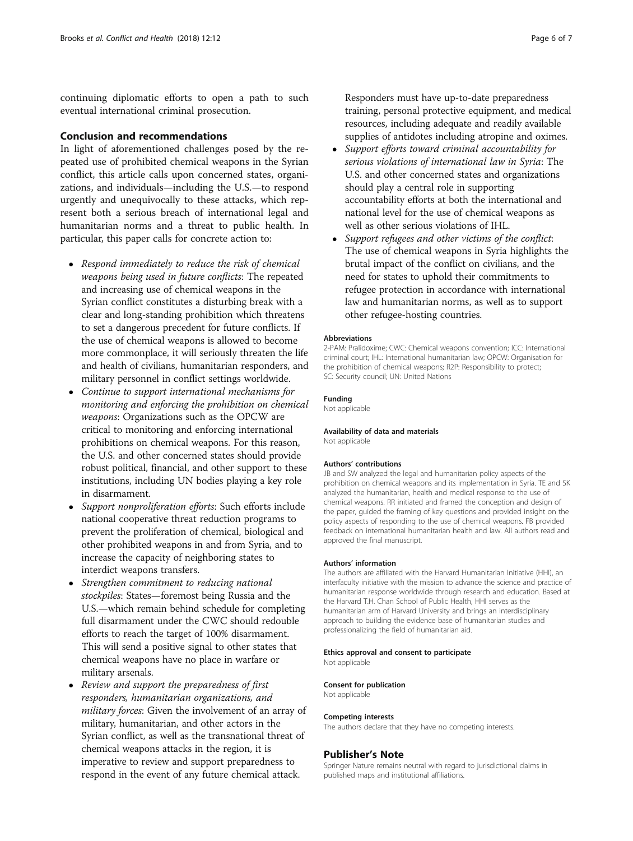continuing diplomatic efforts to open a path to such eventual international criminal prosecution.

#### Conclusion and recommendations

In light of aforementioned challenges posed by the repeated use of prohibited chemical weapons in the Syrian conflict, this article calls upon concerned states, organizations, and individuals—including the U.S.—to respond urgently and unequivocally to these attacks, which represent both a serious breach of international legal and humanitarian norms and a threat to public health. In particular, this paper calls for concrete action to:

- Respond immediately to reduce the risk of chemical weapons being used in future conflicts: The repeated and increasing use of chemical weapons in the Syrian conflict constitutes a disturbing break with a clear and long-standing prohibition which threatens to set a dangerous precedent for future conflicts. If the use of chemical weapons is allowed to become more commonplace, it will seriously threaten the life and health of civilians, humanitarian responders, and military personnel in conflict settings worldwide.
- Continue to support international mechanisms for monitoring and enforcing the prohibition on chemical weapons: Organizations such as the OPCW are critical to monitoring and enforcing international prohibitions on chemical weapons. For this reason, the U.S. and other concerned states should provide robust political, financial, and other support to these institutions, including UN bodies playing a key role in disarmament.
- Support nonproliferation efforts: Such efforts include national cooperative threat reduction programs to prevent the proliferation of chemical, biological and other prohibited weapons in and from Syria, and to increase the capacity of neighboring states to interdict weapons transfers.
- Strengthen commitment to reducing national stockpiles: States—foremost being Russia and the U.S.—which remain behind schedule for completing full disarmament under the CWC should redouble efforts to reach the target of 100% disarmament. This will send a positive signal to other states that chemical weapons have no place in warfare or military arsenals.
- Review and support the preparedness of first responders, humanitarian organizations, and military forces: Given the involvement of an array of military, humanitarian, and other actors in the Syrian conflict, as well as the transnational threat of chemical weapons attacks in the region, it is imperative to review and support preparedness to respond in the event of any future chemical attack.

Responders must have up-to-date preparedness training, personal protective equipment, and medical resources, including adequate and readily available supplies of antidotes including atropine and oximes.

- Support efforts toward criminal accountability for serious violations of international law in Syria: The U.S. and other concerned states and organizations should play a central role in supporting accountability efforts at both the international and national level for the use of chemical weapons as well as other serious violations of IHL.
- Support refugees and other victims of the conflict: The use of chemical weapons in Syria highlights the brutal impact of the conflict on civilians, and the need for states to uphold their commitments to refugee protection in accordance with international law and humanitarian norms, as well as to support other refugee-hosting countries.

#### Abbreviations

2-PAM: Pralidoxime; CWC: Chemical weapons convention; ICC: International criminal court; IHL: International humanitarian law; OPCW: Organisation for the prohibition of chemical weapons; R2P: Responsibility to protect; SC: Security council; UN: United Nations

## Funding

Not applicable

#### Availability of data and materials

Not applicable

#### Authors' contributions

JB and SW analyzed the legal and humanitarian policy aspects of the prohibition on chemical weapons and its implementation in Syria. TE and SK analyzed the humanitarian, health and medical response to the use of chemical weapons. RR initiated and framed the conception and design of the paper, guided the framing of key questions and provided insight on the policy aspects of responding to the use of chemical weapons. FB provided feedback on international humanitarian health and law. All authors read and approved the final manuscript.

#### Authors' information

The authors are affiliated with the Harvard Humanitarian Initiative (HHI), an interfaculty initiative with the mission to advance the science and practice of humanitarian response worldwide through research and education. Based at the Harvard T.H. Chan School of Public Health, HHI serves as the humanitarian arm of Harvard University and brings an interdisciplinary approach to building the evidence base of humanitarian studies and professionalizing the field of humanitarian aid.

### Ethics approval and consent to participate

Not applicable

Consent for publication Not applicable

#### Competing interests

The authors declare that they have no competing interests.

#### Publisher's Note

Springer Nature remains neutral with regard to jurisdictional claims in published maps and institutional affiliations.